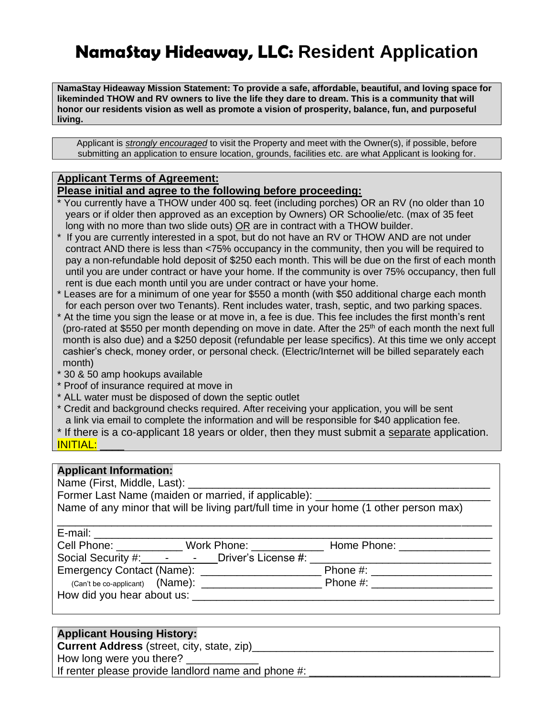# **NamaStay Hideaway, LLC: Resident Application**

**NamaStay Hideaway Mission Statement: To provide a safe, affordable, beautiful, and loving space for likeminded THOW and RV owners to live the life they dare to dream. This is a community that will honor our residents vision as well as promote a vision of prosperity, balance, fun, and purposeful living.**

Applicant is *strongly encouraged* to visit the Property and meet with the Owner(s), if possible, before submitting an application to ensure location, grounds, facilities etc. are what Applicant is looking for.

### **Applicant Terms of Agreement:**

### **Please initial and agree to the following before proceeding:**

- \* You currently have a THOW under 400 sq. feet (including porches) OR an RV (no older than 10 years or if older then approved as an exception by Owners) OR Schoolie/etc. (max of 35 feet long with no more than two slide outs) OR are in contract with a THOW builder.
- \* If you are currently interested in a spot, but do not have an RV or THOW AND are not under contract AND there is less than <75% occupancy in the community, then you will be required to pay a non-refundable hold deposit of \$250 each month. This will be due on the first of each month until you are under contract or have your home. If the community is over 75% occupancy, then full rent is due each month until you are under contract or have your home.
- \* Leases are for a minimum of one year for \$550 a month (with \$50 additional charge each month for each person over two Tenants). Rent includes water, trash, septic, and two parking spaces.
- \* At the time you sign the lease or at move in, a fee is due. This fee includes the first month's rent (pro-rated at \$550 per month depending on move in date. After the  $25<sup>th</sup>$  of each month the next full month is also due) and a \$250 deposit (refundable per lease specifics). At this time we only accept cashier's check, money order, or personal check. (Electric/Internet will be billed separately each month)
- \* 30 & 50 amp hookups available
- \* Proof of insurance required at move in
- \* ALL water must be disposed of down the septic outlet
- \* Credit and background checks required. After receiving your application, you will be sent a link via email to complete the information and will be responsible for \$40 application fee.
- \* If there is a co-applicant 18 years or older, then they must submit a separate application. INITIAL:

### **Applicant Information:**

Name (First, Middle, Last):

| Former Last Name (maiden or married, if applicable):                                   |  |
|----------------------------------------------------------------------------------------|--|
| Name of any minor that will be living part/full time in your home (1 other person max) |  |

| E-mail: E-mail:                                         |                                                  |  |  |                                |
|---------------------------------------------------------|--------------------------------------------------|--|--|--------------------------------|
|                                                         | Cell Phone: ____________ Work Phone: ___________ |  |  | Home Phone: ________________   |
| Social Security #: ________________ Driver's License #: |                                                  |  |  |                                |
| Emergency Contact (Name): _____________________         |                                                  |  |  | Phone #: _____________________ |
|                                                         |                                                  |  |  |                                |
|                                                         |                                                  |  |  |                                |

### **Applicant Housing History:**

**Current Address** (street, city, state, zip)

How long were you there?

If renter please provide landlord name and phone  $\#$ :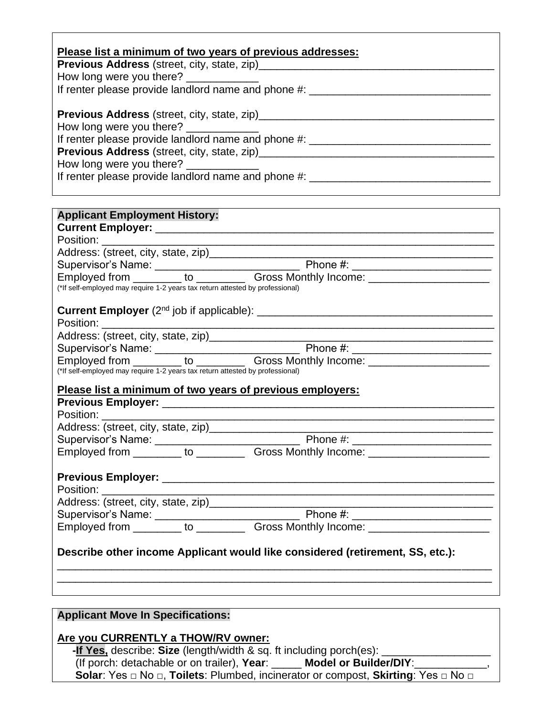| Please list a minimum of two years of previous addresses:                        |
|----------------------------------------------------------------------------------|
|                                                                                  |
| How long were you there?                                                         |
| If renter please provide landlord name and phone #: ______                       |
| <b>Previous Address</b> (street, city, state, zip)_______                        |
| How long were you there?                                                         |
| If renter please provide landlord name and phone #: ____________________________ |
| <b>Previous Address (street, city, state, zip)</b>                               |
| How long were you there?                                                         |
| If renter please provide landlord name and phone #:                              |

| <b>Applicant Employment History:</b>                                          |
|-------------------------------------------------------------------------------|
|                                                                               |
|                                                                               |
|                                                                               |
|                                                                               |
|                                                                               |
| (*If self-employed may require 1-2 years tax return attested by professional) |
|                                                                               |
|                                                                               |
|                                                                               |
|                                                                               |
|                                                                               |
| (*If self-employed may require 1-2 years tax return attested by professional) |
| Please list a minimum of two years of previous employers:                     |
|                                                                               |
|                                                                               |
|                                                                               |
|                                                                               |
|                                                                               |
|                                                                               |
|                                                                               |
|                                                                               |
|                                                                               |
|                                                                               |
|                                                                               |
|                                                                               |
| Describe other income Applicant would like considered (retirement, SS, etc.): |
|                                                                               |
|                                                                               |
|                                                                               |

### **Applicant Move In Specifications:**

#### **Are you CURRENTLY a THOW/RV owner:**

 **-If Yes,** describe: **Size** (length/width & sq. ft including porch(es): \_\_\_\_\_\_\_\_\_\_\_\_\_\_\_\_\_\_ (If porch: detachable or on trailer), **Year**: \_\_\_\_\_ **Model or Builder/DIY**:\_\_\_\_\_\_\_\_\_\_\_\_, **Solar**: Yes □ No □, **Toilets**: Plumbed, incinerator or compost, **Skirting**: Yes □ No □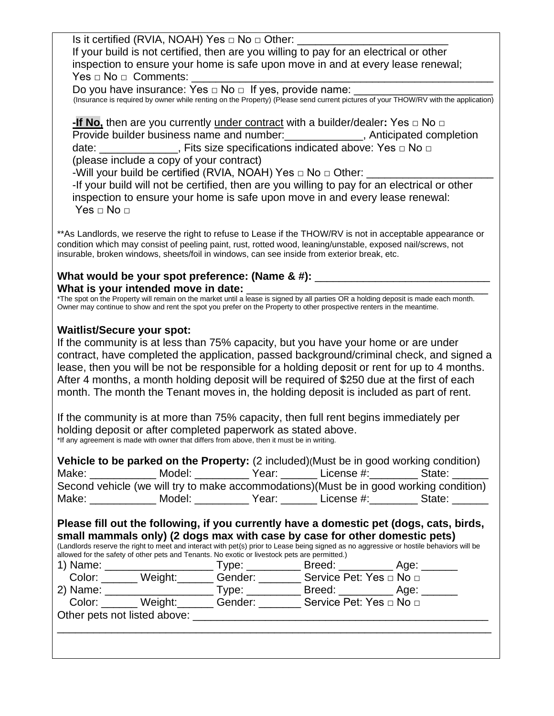Is it certified (RVIA, NOAH) Yes  $\Box$  No  $\Box$  Other: If your build is not certified, then are you willing to pay for an electrical or other inspection to ensure your home is safe upon move in and at every lease renewal;  $\mathsf{Yes} \sqcup \mathsf{No} \sqcup \mathsf{Comments}\text{:}$ Do you have insurance: Yes  $\Box$  No  $\Box$  If yes, provide name: (Insurance is required by owner while renting on the Property) (Please send current pictures of your THOW/RV with the application) **-If No,** then are you currently under contract with a builder/dealer**:** Yes □ No □ **Provide builder business name and number:** The anticipated completion date: \_\_\_\_\_\_\_\_\_\_\_\_\_, Fits size specifications indicated above: Yes □ No □ (please include a copy of your contract) -Will your build be certified (RVIA, NOAH) Yes □ No □ Other: -If your build will not be certified, then are you willing to pay for an electrical or other inspection to ensure your home is safe upon move in and every lease renewal: Yes □ No □ \*\*As Landlords, we reserve the right to refuse to Lease if the THOW/RV is not in acceptable appearance or condition which may consist of peeling paint, rust, rotted wood, leaning/unstable, exposed nail/screws, not insurable, broken windows, sheets/foil in windows, can see inside from exterior break, etc. What would be your spot preference: (Name & #): \_\_\_\_\_\_\_\_ What is your intended move in date: \*The spot on the Property will remain on the market until a lease is signed by all parties OR a holding deposit is made each month. Owner may continue to show and rent the spot you prefer on the Property to other prospective renters in the meantime. **Waitlist/Secure your spot:** If the community is at less than 75% capacity, but you have your home or are under contract, have completed the application, passed background/criminal check, and signed a lease, then you will be not be responsible for a holding deposit or rent for up to 4 months. After 4 months, a month holding deposit will be required of \$250 due at the first of each month. The month the Tenant moves in, the holding deposit is included as part of rent. If the community is at more than 75% capacity, then full rent begins immediately per holding deposit or after completed paperwork as stated above. \*If any agreement is made with owner that differs from above, then it must be in writing. **Vehicle to be parked on the Property:** (2 included)(Must be in good working condition) Make: Model: The Model: All Model: License #: License #: State: Second vehicle (we will try to make accommodations)(Must be in good working condition) Make: \_\_\_\_\_\_\_\_\_\_\_ Model: \_\_\_\_\_\_\_\_\_ Year: \_\_\_\_\_\_ License #:\_\_\_\_\_\_\_\_ State: \_\_\_\_\_\_ **Please fill out the following, if you currently have a domestic pet (dogs, cats, birds, small mammals only) (2 dogs max with case by case for other domestic pets)** (Landlords reserve the right to meet and interact with pet(s) prior to Lease being signed as no aggressive or hostile behaviors will be allowed for the safety of other pets and Tenants. No exotic or livestock pets are permitted.) 1) Name: \_\_\_\_\_\_\_\_\_\_\_\_\_\_\_\_\_\_ Type: \_\_\_\_\_\_\_\_\_ Breed: \_\_\_\_\_\_\_\_\_ Age: \_\_\_\_\_\_ Gender: \_\_\_\_\_\_\_\_ Service Pet: Yes □ No □ 2) Name: \_\_\_\_\_\_\_\_\_\_\_\_\_\_\_\_\_\_ Type: \_\_\_\_\_\_\_\_\_ Breed: \_\_\_\_\_\_\_\_\_ Age: \_\_\_\_\_\_ Color: Weight: Gender: Service Pet: Yes □ No □ Other pets not listed above: \_\_\_\_\_\_\_\_\_\_\_\_\_\_\_\_\_\_\_\_\_\_\_\_\_\_\_\_\_\_\_\_\_\_\_\_\_\_\_\_\_\_\_\_\_\_\_\_\_\_\_\_\_\_\_\_\_\_\_\_\_\_\_\_\_\_\_\_\_\_\_\_